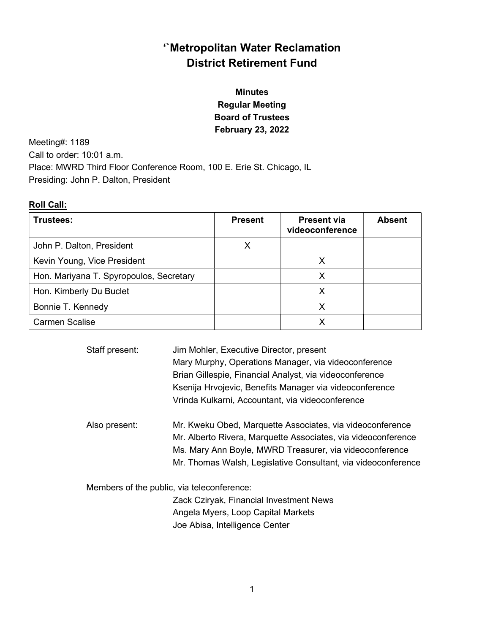# '`Metropolitan Water Reclamation District Retirement Fund

# Minutes Regular Meeting Board of Trustees February 23, 2022

Meeting#: 1189 Call to order: 10:01 a.m. Place: MWRD Third Floor Conference Room, 100 E. Erie St. Chicago, IL Presiding: John P. Dalton, President

## Roll Call:

| Trustees:                               | <b>Present</b> | <b>Present via</b><br>videoconference | <b>Absent</b> |
|-----------------------------------------|----------------|---------------------------------------|---------------|
| John P. Dalton, President               | x              |                                       |               |
| Kevin Young, Vice President             |                | x                                     |               |
| Hon. Mariyana T. Spyropoulos, Secretary |                | X                                     |               |
| Hon. Kimberly Du Buclet                 |                | X                                     |               |
| Bonnie T. Kennedy                       |                |                                       |               |
| <b>Carmen Scalise</b>                   |                |                                       |               |

| Staff present:                             | Jim Mohler, Executive Director, present<br>Mary Murphy, Operations Manager, via videoconference<br>Brian Gillespie, Financial Analyst, via videoconference<br>Ksenija Hrvojevic, Benefits Manager via videoconference<br>Vrinda Kulkarni, Accountant, via videoconference |
|--------------------------------------------|---------------------------------------------------------------------------------------------------------------------------------------------------------------------------------------------------------------------------------------------------------------------------|
| Also present:                              | Mr. Kweku Obed, Marquette Associates, via videoconference<br>Mr. Alberto Rivera, Marquette Associates, via videoconference<br>Ms. Mary Ann Boyle, MWRD Treasurer, via videoconference<br>Mr. Thomas Walsh, Legislative Consultant, via videoconference                    |
| Members of the public, via teleconference: |                                                                                                                                                                                                                                                                           |
|                                            | Zack Cziryak, Financial Investment News                                                                                                                                                                                                                                   |
|                                            | Angela Myers, Loop Capital Markets                                                                                                                                                                                                                                        |
|                                            | Joe Abisa, Intelligence Center                                                                                                                                                                                                                                            |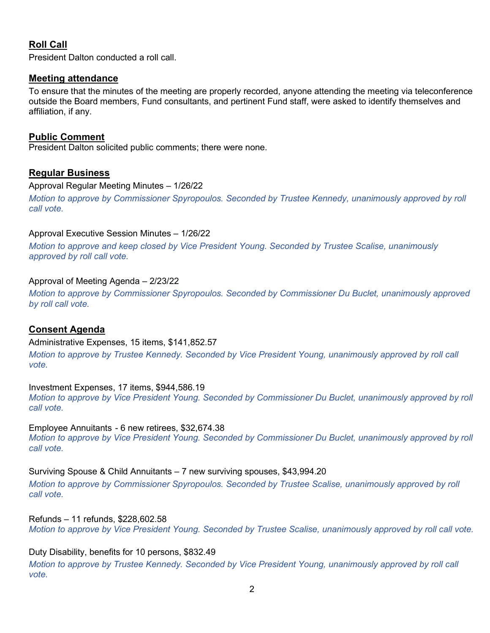# Roll Call

President Dalton conducted a roll call.

## Meeting attendance

To ensure that the minutes of the meeting are properly recorded, anyone attending the meeting via teleconference outside the Board members, Fund consultants, and pertinent Fund staff, were asked to identify themselves and affiliation, if any.

## Public Comment

President Dalton solicited public comments; there were none.

## Regular Business

#### Approval Regular Meeting Minutes – 1/26/22

Motion to approve by Commissioner Spyropoulos. Seconded by Trustee Kennedy, unanimously approved by roll call vote.

## Approval Executive Session Minutes – 1/26/22

Motion to approve and keep closed by Vice President Young. Seconded by Trustee Scalise, unanimously approved by roll call vote.

## Approval of Meeting Agenda – 2/23/22

Motion to approve by Commissioner Spyropoulos. Seconded by Commissioner Du Buclet, unanimously approved by roll call vote.

# Consent Agenda

#### Administrative Expenses, 15 items, \$141,852.57

Motion to approve by Trustee Kennedy. Seconded by Vice President Young, unanimously approved by roll call vote.

Investment Expenses, 17 items, \$944,586.19

Motion to approve by Vice President Young. Seconded by Commissioner Du Buclet, unanimously approved by roll call vote.

## Employee Annuitants - 6 new retirees, \$32,674.38

Motion to approve by Vice President Young. Seconded by Commissioner Du Buclet, unanimously approved by roll call vote.

## Surviving Spouse & Child Annuitants – 7 new surviving spouses, \$43,994.20

Motion to approve by Commissioner Spyropoulos. Seconded by Trustee Scalise, unanimously approved by roll call vote.

Refunds – 11 refunds, \$228,602.58

Motion to approve by Vice President Young. Seconded by Trustee Scalise, unanimously approved by roll call vote.

## Duty Disability, benefits for 10 persons, \$832.49

Motion to approve by Trustee Kennedy. Seconded by Vice President Young, unanimously approved by roll call vote.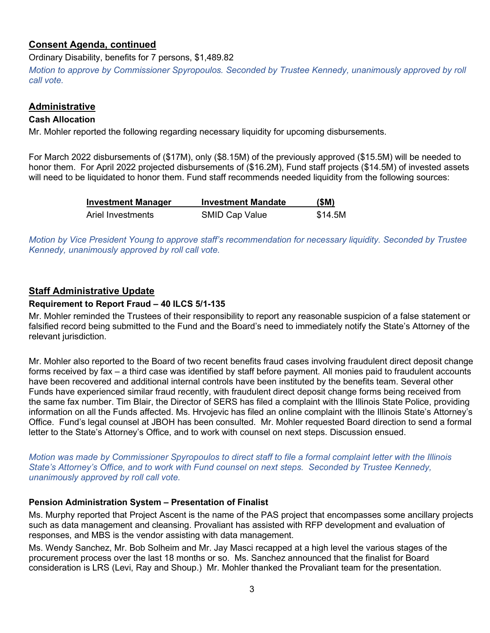# Consent Agenda, continued

Ordinary Disability, benefits for 7 persons, \$1,489.82

Motion to approve by Commissioner Spyropoulos. Seconded by Trustee Kennedy, unanimously approved by roll call vote.

## Administrative

## Cash Allocation

Mr. Mohler reported the following regarding necessary liquidity for upcoming disbursements.

For March 2022 disbursements of (\$17M), only (\$8.15M) of the previously approved (\$15.5M) will be needed to honor them. For April 2022 projected disbursements of (\$16.2M), Fund staff projects (\$14.5M) of invested assets will need to be liquidated to honor them. Fund staff recommends needed liquidity from the following sources:

| <b>Investment Manager</b> | <b>Investment Mandate</b> | (SM)    |
|---------------------------|---------------------------|---------|
| Ariel Investments         | SMID Cap Value            | \$14.5M |

Motion by Vice President Young to approve staff's recommendation for necessary liquidity. Seconded by Trustee Kennedy, unanimously approved by roll call vote.

# Staff Administrative Update

## Requirement to Report Fraud – 40 ILCS 5/1-135

Mr. Mohler reminded the Trustees of their responsibility to report any reasonable suspicion of a false statement or falsified record being submitted to the Fund and the Board's need to immediately notify the State's Attorney of the relevant jurisdiction.

Mr. Mohler also reported to the Board of two recent benefits fraud cases involving fraudulent direct deposit change forms received by fax – a third case was identified by staff before payment. All monies paid to fraudulent accounts have been recovered and additional internal controls have been instituted by the benefits team. Several other Funds have experienced similar fraud recently, with fraudulent direct deposit change forms being received from the same fax number. Tim Blair, the Director of SERS has filed a complaint with the Illinois State Police, providing information on all the Funds affected. Ms. Hrvojevic has filed an online complaint with the Illinois State's Attorney's Office. Fund's legal counsel at JBOH has been consulted. Mr. Mohler requested Board direction to send a formal letter to the State's Attorney's Office, and to work with counsel on next steps. Discussion ensued.

Motion was made by Commissioner Spyropoulos to direct staff to file a formal complaint letter with the Illinois State's Attorney's Office, and to work with Fund counsel on next steps. Seconded by Trustee Kennedy, unanimously approved by roll call vote.

## Pension Administration System – Presentation of Finalist

Ms. Murphy reported that Project Ascent is the name of the PAS project that encompasses some ancillary projects such as data management and cleansing. Provaliant has assisted with RFP development and evaluation of responses, and MBS is the vendor assisting with data management.

Ms. Wendy Sanchez, Mr. Bob Solheim and Mr. Jay Masci recapped at a high level the various stages of the procurement process over the last 18 months or so. Ms. Sanchez announced that the finalist for Board consideration is LRS (Levi, Ray and Shoup.) Mr. Mohler thanked the Provaliant team for the presentation.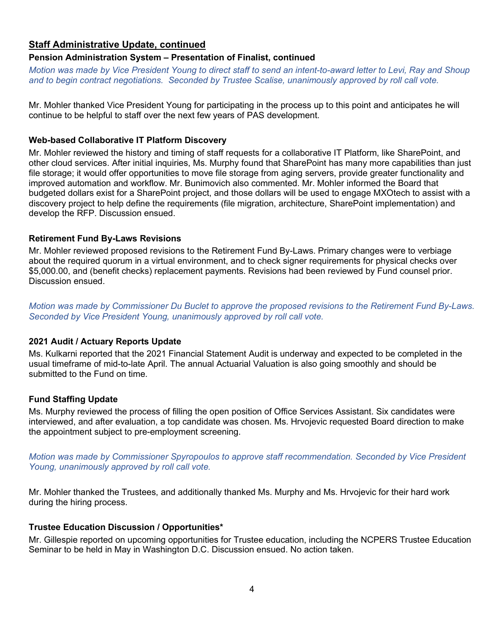# Staff Administrative Update, continued

## Pension Administration System – Presentation of Finalist, continued

Motion was made by Vice President Young to direct staff to send an intent-to-award letter to Levi, Ray and Shoup and to begin contract negotiations. Seconded by Trustee Scalise, unanimously approved by roll call vote.

Mr. Mohler thanked Vice President Young for participating in the process up to this point and anticipates he will continue to be helpful to staff over the next few years of PAS development.

#### Web-based Collaborative IT Platform Discovery

Mr. Mohler reviewed the history and timing of staff requests for a collaborative IT Platform, like SharePoint, and other cloud services. After initial inquiries, Ms. Murphy found that SharePoint has many more capabilities than just file storage; it would offer opportunities to move file storage from aging servers, provide greater functionality and improved automation and workflow. Mr. Bunimovich also commented. Mr. Mohler informed the Board that budgeted dollars exist for a SharePoint project, and those dollars will be used to engage MXOtech to assist with a discovery project to help define the requirements (file migration, architecture, SharePoint implementation) and develop the RFP. Discussion ensued.

#### Retirement Fund By-Laws Revisions

Mr. Mohler reviewed proposed revisions to the Retirement Fund By-Laws. Primary changes were to verbiage about the required quorum in a virtual environment, and to check signer requirements for physical checks over \$5,000.00, and (benefit checks) replacement payments. Revisions had been reviewed by Fund counsel prior. Discussion ensued.

Motion was made by Commissioner Du Buclet to approve the proposed revisions to the Retirement Fund By-Laws. Seconded by Vice President Young, unanimously approved by roll call vote.

## 2021 Audit / Actuary Reports Update

Ms. Kulkarni reported that the 2021 Financial Statement Audit is underway and expected to be completed in the usual timeframe of mid-to-late April. The annual Actuarial Valuation is also going smoothly and should be submitted to the Fund on time.

## Fund Staffing Update

Ms. Murphy reviewed the process of filling the open position of Office Services Assistant. Six candidates were interviewed, and after evaluation, a top candidate was chosen. Ms. Hrvojevic requested Board direction to make the appointment subject to pre-employment screening.

Motion was made by Commissioner Spyropoulos to approve staff recommendation. Seconded by Vice President Young, unanimously approved by roll call vote.

Mr. Mohler thanked the Trustees, and additionally thanked Ms. Murphy and Ms. Hrvojevic for their hard work during the hiring process.

#### Trustee Education Discussion / Opportunities\*

Mr. Gillespie reported on upcoming opportunities for Trustee education, including the NCPERS Trustee Education Seminar to be held in May in Washington D.C. Discussion ensued. No action taken.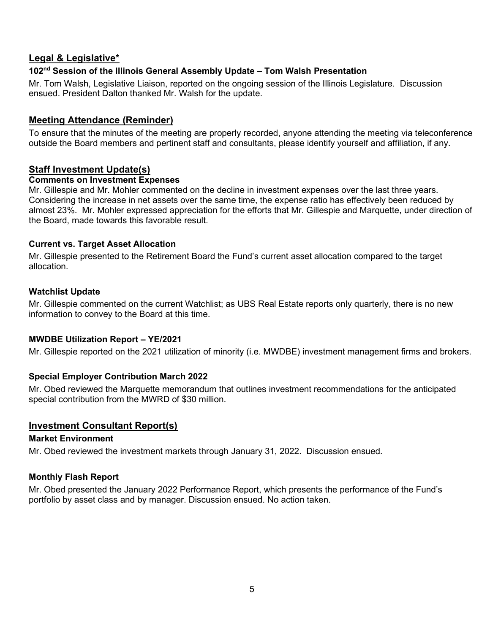## Legal & Legislative\*

## 102<sup>nd</sup> Session of the Illinois General Assembly Update - Tom Walsh Presentation

Mr. Tom Walsh, Legislative Liaison, reported on the ongoing session of the Illinois Legislature. Discussion ensued. President Dalton thanked Mr. Walsh for the update.

## Meeting Attendance (Reminder)

To ensure that the minutes of the meeting are properly recorded, anyone attending the meeting via teleconference outside the Board members and pertinent staff and consultants, please identify yourself and affiliation, if any.

## Staff Investment Update(s)

#### Comments on Investment Expenses

Mr. Gillespie and Mr. Mohler commented on the decline in investment expenses over the last three years. Considering the increase in net assets over the same time, the expense ratio has effectively been reduced by almost 23%. Mr. Mohler expressed appreciation for the efforts that Mr. Gillespie and Marquette, under direction of the Board, made towards this favorable result.

#### Current vs. Target Asset Allocation

Mr. Gillespie presented to the Retirement Board the Fund's current asset allocation compared to the target allocation.

#### Watchlist Update

Mr. Gillespie commented on the current Watchlist; as UBS Real Estate reports only quarterly, there is no new information to convey to the Board at this time.

## MWDBE Utilization Report – YE/2021

Mr. Gillespie reported on the 2021 utilization of minority (i.e. MWDBE) investment management firms and brokers.

## Special Employer Contribution March 2022

Mr. Obed reviewed the Marquette memorandum that outlines investment recommendations for the anticipated special contribution from the MWRD of \$30 million.

## Investment Consultant Report(s)

#### Market Environment

Mr. Obed reviewed the investment markets through January 31, 2022. Discussion ensued.

## Monthly Flash Report

Mr. Obed presented the January 2022 Performance Report, which presents the performance of the Fund's portfolio by asset class and by manager. Discussion ensued. No action taken.